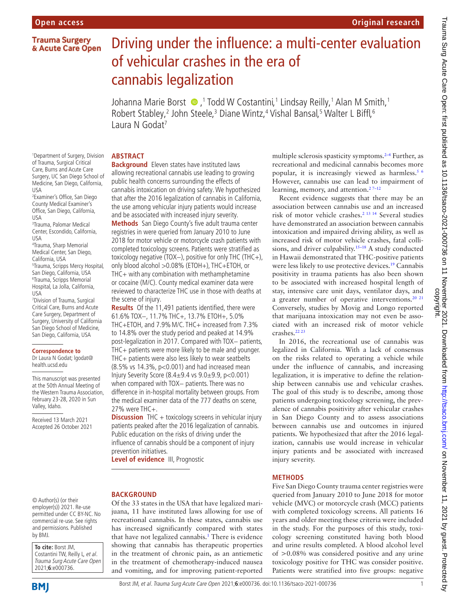# **Trauma Surgery** & Acute Care Open

# Driving under the influence: a multi-center evaluation of vehicular crashes in the era of cannabis legalization

Johanna Marie Borst  $\bigcirc$  ,<sup>1</sup> Todd W Costantini,<sup>1</sup> Lindsay Reilly,<sup>1</sup> Alan M Smith,<sup>1</sup> Robert Stabley,<sup>2</sup> John Steele,<sup>3</sup> Diane Wintz,<sup>4</sup> Vishal Bansal,<sup>5</sup> Walter L Biffl,<sup>6</sup> Laura N Godat<sup>7</sup>

## **ABSTRACT**

1 Department of Surgery, Division of Trauma, Surgical Critical Care, Burns and Acute Care Surgery, UC San Diego School of Medicine, San Diego, California, USA

2 Examiner's Office, San Diego County Medical Examiner's Office, San Diego, California, USA

3 Trauma, Palomar Medical Center, Escondido, California, USA

4 Trauma, Sharp Memorial Medical Center, San Diego, California, USA 5 Trauma, Scripps Mercy Hospital, San Diego, California, USA 6 Trauma, Scripps Memorial Hospital, La Jolla, California, USA

7 Division of Trauma, Surgical Critical Care, Burns and Acute Care Surgery, Department of Surgery, University of California San Diego School of Medicine, San Diego, California, USA

#### **Correspondence to**

Dr Laura N Godat; lgodat@ health.ucsd.edu

This manuscript was presented at the 50th Annual Meeting of the Western Trauma Association, February 23-28, 2020 in Sun Valley, Idaho.

Received 13 March 2021 Accepted 26 October 2021

#### © Author(s) (or their employer(s)) 2021. Re-use permitted under CC BY-NC. No commercial re-use. See rights and permissions. Published by BMJ.

**To cite:** Borst JM, Costantini TW, Reilly L, et al. Trauma Surg Acute Care Open 2021;**6**:e000736.

**Background** Eleven states have instituted laws allowing recreational cannabis use leading to growing public health concerns surrounding the effects of cannabis intoxication on driving safety. We hypothesized that after the 2016 legalization of cannabis in California, the use among vehicular injury patients would increase and be associated with increased injury severity. **Methods** San Diego County's five adult trauma center registries in were queried from January 2010 to June 2018 for motor vehicle or motorcycle crash patients with completed toxicology screens. Patients were stratified as toxicology negative (TOX−), positive for only THC (THC+),

only blood alcohol >0.08% (ETOH+), THC+ETOH, or THC+ with any combination with methamphetamine or cocaine (M/C). County medical examiner data were reviewed to characterize THC use in those with deaths at the scene of injury.

**Results** Of the 11,491 patients identified, there were 61.6% TOX−, 11.7% THC+, 13.7% ETOH+, 5.0% THC+ETOH, and 7.9%M/C. THC+ increased from 7.3% to 14.8% over the study period and peaked at 14.9% post-legalization in 2017. Compared with TOX− patients, THC+ patients were more likely to be male and younger. THC+ patients were also less likely to wear seatbelts (8.5% vs 14.3%, p<0.001) and had increased mean Injury Severity Score (8.4±9.4 vs 9.0±9.9, p<0.001) when compared with TOX- patients. There was no difference in in-hospital mortality between groups. From the medical examiner data of the 777 deaths on scene, 27% were THC+.

**Discussion** THC + toxicology screens in vehicular injury patients peaked after the 2016 legalization of cannabis. Public education on the risks of driving under the influence of cannabis should be a component of injury prevention initiatives.

**Level of evidence III, Prognostic** 

# **BACKGROUND**

Of the 33 states in the USA that have legalized marijuana, 11 have instituted laws allowing for use of recreational cannabis. In these states, cannabis use has increased significantly compared with states that have not legalized cannabis.<sup>1</sup> There is evidence showing that cannabis has therapeutic properties in the treatment of chronic pain, as an antiemetic in the treatment of chemotherapy-induced nausea and vomiting, and for improving patient-reported

multiple sclerosis spasticity symptoms.<sup>2–4</sup> Further, as recreational and medicinal cannabis becomes more popular, it is increasingly viewed as harmless.<sup>[5 6](#page-5-1)</sup> However, cannabis use can lead to impairment of learning, memory, and attention.<sup>27-12</sup>

Recent evidence suggests that there may be an association between cannabis use and an increased risk of motor vehicle crashes[.2 13 14](#page-5-0) Several studies have demonstrated an association between cannabis intoxication and impaired driving ability, as well as increased risk of motor vehicle crashes, fatal collisions, and driver culpability.<sup>15–18</sup> A study conducted in Hawaii demonstrated that THC-positive patients were less likely to use protective devices.<sup>19</sup> Cannabis positivity in trauma patients has also been shown to be associated with increased hospital length of stay, intensive care unit days, ventilator days, and a greater number of operative interventions.<sup>20</sup><sup>21</sup> Conversely, studies by Movig and Longo reported that marijuana intoxication may not even be associated with an increased risk of motor vehicle crashes.[22 23](#page-5-5)

In 2016, the recreational use of cannabis was legalized in California. With a lack of consensus on the risks related to operating a vehicle while under the influence of cannabis, and increasing legalization, it is imperative to define the relationship between cannabis use and vehicular crashes. The goal of this study is to describe, among those patients undergoing toxicology screening, the prevalence of cannabis positivity after vehicular crashes in San Diego County and to assess associations between cannabis use and outcomes in injured patients. We hypothesized that after the 2016 legalization, cannabis use would increase in vehicular injury patients and be associated with increased injury severity.

# **METHODS**

Five San Diego County trauma center registries were queried from January 2010 to June 2018 for motor vehicle (MVC) or motorcycle crash (MCC) patients with completed toxicology screens. All patients 16 years and older meeting these criteria were included in the study. For the purposes of this study, toxicology screening constituted having both blood and urine results completed. A blood alcohol level of  $>0.08\%$  was considered positive and any urine toxicology positive for THC was consider positive. Patients were stratified into five groups: negative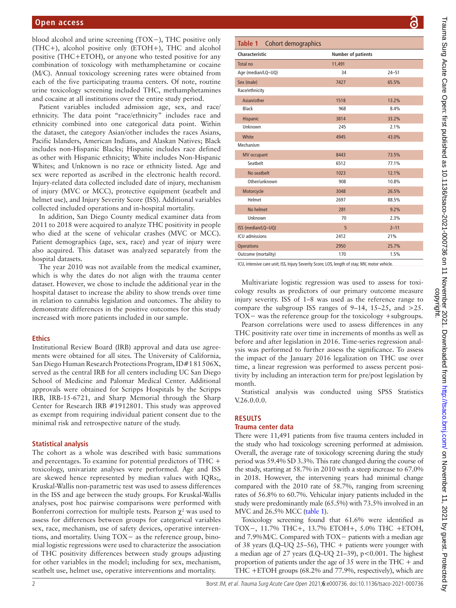blood alcohol and urine screening (TOX−), THC positive only (THC+), alcohol positive only (ETOH+), THC and alcohol positive (THC+ETOH), or anyone who tested positive for any combination of toxicology with methamphetamine or cocaine (M/C). Annual toxicology screening rates were obtained from each of the five participating trauma centers. Of note, routine urine toxicology screening included THC, methamphetamines and cocaine at all institutions over the entire study period.

Patient variables included admission age, sex, and race/ ethnicity. The data point "race/ethnicity" includes race and ethnicity combined into one categorical data point. Within the dataset, the category Asian/other includes the races Asians, Pacific Islanders, American Indians, and Alaskan Natives; Black includes non-Hispanic Blacks; Hispanic includes race defined as other with Hispanic ethnicity; White includes Non-Hispanic Whites; and Unknown is no race or ethnicity listed. Age and sex were reported as ascribed in the electronic health record. Injury-related data collected included date of injury, mechanism of injury (MVC or MCC), protective equipment (seatbelt and helmet use), and Injury Severity Score (ISS). Additional variables collected included operations and in-hospital mortality.

In addition, San Diego County medical examiner data from 2011 to 2018 were acquired to analyze THC positivity in people who died at the scene of vehicular crashes (MVC or MCC). Patient demographics (age, sex, race) and year of injury were also acquired. This dataset was analyzed separately from the hospital datasets.

The year 2010 was not available from the medical examiner, which is why the dates do not align with the trauma center dataset. However, we chose to include the additional year in the hospital dataset to increase the ability to show trends over time in relation to cannabis legislation and outcomes. The ability to demonstrate differences in the positive outcomes for this study increased with more patients included in our sample.

## **Ethics**

Institutional Review Board (IRB) approval and data use agreements were obtained for all sites. The University of California, San Diego Human Research Protections Program, ID#181506X, served as the central IRB for all centers including UC San Diego School of Medicine and Palomar Medical Center. Additional approvals were obtained for Scripps Hospitals by the Scripps IRB, IRB-15-6721, and Sharp Memorial through the Sharp Center for Research IRB #1912801. This study was approved as exempt from requiring individual patient consent due to the minimal risk and retrospective nature of the study.

## **Statistical analysis**

The cohort as a whole was described with basic summations and percentages. To examine for potential predictors of THC + toxicology, univariate analyses were performed. Age and ISS are skewed hence represented by median values with IQRs;, Kruskal-Wallis non-parametric test was used to assess differences in the ISS and age between the study groups. For Kruskal-Wallis analyses, post hoc pairwise comparisons were performed with Bonferroni correction for multiple tests. Pearson  $\chi^2$  was used to assess for differences between groups for categorical variables sex, race, mechanism, use of safety devices, operative interventions, and mortality. Using TOX− as the reference group, binomial logistic regressions were used to characterize the association of THC positivity differences between study groups adjusting for other variables in the model; including for sex, mechanism, seatbelt use, helmet use, operative interventions and mortality.

<span id="page-1-0"></span>

|                                                                                               |                           | O         |
|-----------------------------------------------------------------------------------------------|---------------------------|-----------|
| Table 1 Cohort demographics                                                                   |                           |           |
| <b>Characteristic</b>                                                                         | <b>Number of patients</b> |           |
| <b>Total no</b>                                                                               | 11,491                    |           |
| Age (median/LQ-UQ)                                                                            | 34                        | $24 - 51$ |
| Sex (male)                                                                                    | 7427                      | 65.5%     |
| Race/ethnicity                                                                                |                           |           |
| Asian/other                                                                                   | 1518                      | 13.2%     |
| <b>Black</b>                                                                                  | 968                       | 8.4%      |
| Hispanic                                                                                      | 3814                      | 33.2%     |
| Unknown                                                                                       | 245                       | 2.1%      |
| White                                                                                         | 4945                      | 43.0%     |
| Mechanism                                                                                     |                           |           |
| <b>MV</b> occupant                                                                            | 8443                      | 73.5%     |
| Seatbelt                                                                                      | 6512                      | 77.1%     |
| No seatbelt                                                                                   | 1023                      | 12.1%     |
| Other/unknown                                                                                 | 908                       | 10.8%     |
| Motorcycle                                                                                    | 3048                      | 26.5%     |
| Helmet                                                                                        | 2697                      | 88.5%     |
| No helmet                                                                                     | 281                       | 9.2%      |
| Unknown                                                                                       | 70                        | 2.3%      |
| ISS (median/LQ-UQ)                                                                            | 5                         | $2 - 11$  |
| <b>ICU</b> admissions                                                                         | 2412                      | 21%       |
| <b>Operations</b>                                                                             | 2950                      | 25.7%     |
| Outcome (mortality)                                                                           | 170                       | 1.5%      |
| ICU, intensive care unit; ISS, Injury Severity Score; LOS, length of stay; MV, motor vehicle. |                           |           |

ICU, intensive care unit; ISS, Injury Severity Score; LOS, length of stay; MV, motor vehicle.

Multivariate logistic regression was used to assess for toxicology results as predictors of our primary outcome measure injury severity. ISS of 1–8 was used as the reference range to compare the subgroup ISS ranges of  $9-14$ ,  $15-25$ , and  $>25$ . TOX− was the reference group for the toxicology +subgroups.

Pearson correlations were used to assess differences in any THC positivity rate over time in increments of months as well as before and after legislation in 2016. Time-series regression analysis was performed to further assess the significance. To assess the impact of the January 2016 legalization on THC use over time, a linear regression was performed to assess percent positivity by including an interaction term for pre/post legislation by month.

Statistical analysis was conducted using SPSS Statistics V.26.0.0.0.

# **RESULTS**

## **Trauma center data**

There were 11,491 patients from five trauma centers included in the study who had toxicology screening performed at admission. Overall, the average rate of toxicology screening during the study period was 59.4% SD 3.3%. This rate changed during the course of the study, starting at 58.7% in 2010 with a steep increase to 67.0% in 2018. However, the intervening years had minimal change compared with the 2010 rate of 58.7%, ranging from screening rates of 56.8% to 60.7%. Vehicular injury patients included in the study were predominantly male (65.5%) with 73.5% involved in an MVC and 26.5% MCC [\(table](#page-1-0) 1).

Toxicology screening found that 61.6% were identified as TOX−, 11.7% THC+, 13.7% ETOH+, 5.0% THC +ETOH, and 7.9%M/C. Compared with TOX− patients with a median age of 38 years (LQ–UQ 25–56), THC  $+$  patients were younger with a median age of 27 years (LQ–UQ 21–39), p<0.001. The highest proportion of patients under the age of 35 were in the THC + and THC +ETOH groups (68.2% and 77.9%, respectively), which are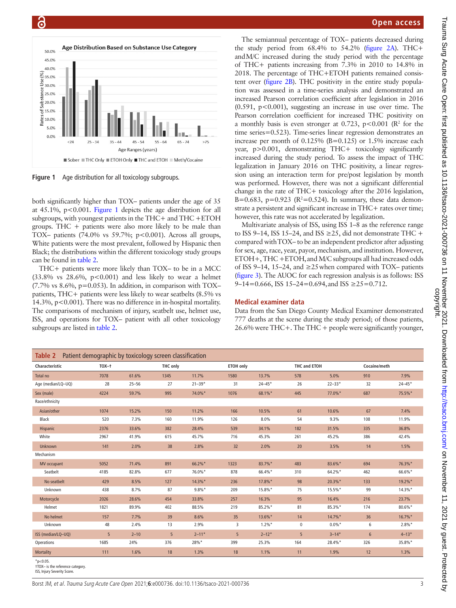

<span id="page-2-0"></span>**Figure 1** Age distribution for all toxicology subgroups.

both significantly higher than TOX– patients under the age of 35 at  $45.1\%$ ,  $p<0.001$ . [Figure](#page-2-0) 1 depicts the age distribution for all subgroups, with youngest patients in the THC+ and THC +ETOH groups. THC + patients were also more likely to be male than TOX– patients (74.0% vs 59.7%; p<0.001). Across all groups, White patients were the most prevalent, followed by Hispanic then Black; the distributions within the different toxicology study groups can be found in [table](#page-2-1) 2.

THC+ patients were more likely than TOX– to be in a MCC  $(33.8\%$  vs  $28.6\%$ ,  $p<0.001$ ) and less likely to wear a helmet  $(7.7\% \text{ vs } 8.6\%, \text{ p}=0.053)$ . In addition, in comparison with TOX– patients, THC+ patients were less likely to wear seatbelts (8.5% vs 14.3%, p<0.001). There was no difference in in-hospital mortality. The comparisons of mechanism of injury, seatbelt use, helmet use, ISS, and operations for TOX– patient with all other toxicology subgroups are listed in [table](#page-2-1) 2.

## **Open access**

The semiannual percentage of TOX– patients decreased during the study period from 68.4% to 54.2% [\(figure](#page-3-0) 2A). THC+ andM/C increased during the study period with the percentage of THC+ patients increasing from 7.3% in 2010 to 14.8% in 2018. The percentage of THC+ETOH patients remained consistent over [\(figure](#page-3-0) 2B). THC positivity in the entire study population was assessed in a time-series analysis and demonstrated an increased Pearson correlation coefficient after legislation in 2016  $(0.591, p<0.001)$ , suggesting an increase in use over time. The Pearson correlation coefficient for increased THC positivity on a monthly basis is even stronger at 0.723,  $p < 0.001$  ( $\mathbb{R}^2$  for the time series=0.523). Time-series linear regression demonstrates an increase per month of  $0.125\%$  (B=0.125) or 1.5% increase each year, p>0.001, demonstrating THC+ toxicology significantly increased during the study period. To assess the impact of THC legalization in January 2016 on THC positivity, a linear regression using an interaction term for pre/post legislation by month was performed. However, there was not a significant differential change in the rate of THC+ toxicology after the 2016 legislation, B=0.683, p=0.923 ( $R^2$ =0.524). In summary, these data demonstrate a persistent and significant increase in THC+ rates over time; however, this rate was not accelerated by legalization.

Multivariate analysis of ISS, using ISS 1–8 as the reference range to ISS 9–14, ISS 15–24, and ISS  $\geq$ 25, did not demonstrate THC + compared withTOX– to be an independent predictor after adjusting for sex, age, race, year, payor, mechanism, and institution. However, ETOH+, THC +ETOH,and M/C subgroups all had increased odds of ISS 9–14, 15–24, and ≥25 when compared with TOX– patients [\(figure](#page-3-1) 3). The AUOC for each regression analysis is as follows: ISS 9–14=0.666, ISS 15–24=0.694, and ISS  $\geq$ 25=0.712.

#### **Medical examiner data**

Data from the San Diego County Medical Examiner demonstrated 777 deaths at the scene during the study period; of those patients, 26.6% were THC+. The THC + people were significantly younger,

<span id="page-2-1"></span>

| <b>Table 2</b> Patient demographic by toxicology screen classification |         |           |          |            |                  |            |                     |            |              |            |
|------------------------------------------------------------------------|---------|-----------|----------|------------|------------------|------------|---------------------|------------|--------------|------------|
| Characteristic                                                         | $TOX–+$ |           | THC only |            | <b>ETOH only</b> |            | <b>THC and ETOH</b> |            | Cocaine/meth |            |
| Total no                                                               | 7078    | 61.6%     | 1345     | 11.7%      | 1580             | 13.7%      | 578                 | 5.0%       | 910          | 7.9%       |
| Age (median/LQ-UQ)                                                     | 28      | $25 - 56$ | 27       | $21 - 39*$ | 31               | $24 - 45*$ | 26                  | $22 - 33*$ | 32           | $24 - 45*$ |
| Sex (male)                                                             | 4224    | 59.7%     | 995      | 74.0%*     | 1076             | 68.1%*     | 445                 | 77.0%*     | 687          | 75.5%*     |
| Race/ethnicity                                                         |         |           |          |            |                  |            |                     |            |              |            |
| Asian/other                                                            | 1074    | 15.2%     | 150      | 11.2%      | 166              | 10.5%      | 61                  | 10.6%      | 67           | 7.4%       |
| Black                                                                  | 520     | 7.3%      | 160      | 11.9%      | 126              | 8.0%       | 54                  | 9.3%       | 108          | 11.9%      |
| Hispanic                                                               | 2376    | 33.6%     | 382      | 28.4%      | 539              | 34.1%      | 182                 | 31.5%      | 335          | 36.8%      |
| White                                                                  | 2967    | 41.9%     | 615      | 45.7%      | 716              | 45.3%      | 261                 | 45.2%      | 386          | 42.4%      |
| Unknown                                                                | 141     | 2.0%      | 38       | 2.8%       | 32               | 2.0%       | 20                  | 3.5%       | 14           | 1.5%       |
| Mechanism                                                              |         |           |          |            |                  |            |                     |            |              |            |
| MV occupant                                                            | 5052    | 71.4%     | 891      | 66.2%*     | 1323             | 83.7%*     | 483                 | 83.6%*     | 694          | 76.3%*     |
| Seatbelt                                                               | 4185    | 82.8%     | 677      | 76.0%*     | 878              | 66.4%*     | 310                 | 64.2%*     | 462          | 66.6%*     |
| No seatbelt                                                            | 429     | 8.5%      | 127      | 14.3%*     | 236              | 17.8%*     | 98                  | 20.3%*     | 133          | 19.2%*     |
| Unknown                                                                | 438     | 8.7%      | 87       | $9.8\%$ *  | 209              | 15.8%*     | 75                  | 15.5%*     | 99           | $14.3\%$ * |
| Motorcycle                                                             | 2026    | 28.6%     | 454      | 33.8%      | 257              | 16.3%      | 95                  | 16.4%      | 216          | 23.7%      |
| Helmet                                                                 | 1821    | 89.9%     | 402      | 88.5%      | 219              | 85.2%*     | 81                  | 85.3%*     | 174          | $80.6\%$ * |
| No helmet                                                              | 157     | 7.7%      | 39       | 8.6%       | 35               | 13.6%*     | 14                  | $14.7\%$ * | 36           | 16.7%*     |
| Unknown                                                                | 48      | 2.4%      | 13       | 2.9%       | 3                | $1.2\%$ *  | 0                   | $0.0\%*$   | 6            | $2.8\%$ *  |
| ISS (median/LQ-UQ)                                                     | 5       | $2 - 10$  | 5        | $2 - 11*$  | 5                | $2 - 12*$  | 5                   | $3 - 14*$  | $\sqrt{6}$   | $4 - 13*$  |
| Operations                                                             | 1685    | 24%       | 376      | 28%*       | 399              | 25.3%      | 164                 | 28.4%*     | 326          | 35.8%*     |
| Mortality                                                              | 111     | 1.6%      | 18       | 1.3%       | 18               | 1.1%       | 11                  | 1.9%       | 12           | 1.3%       |
| $*_{p<0.05}$ .                                                         |         |           |          |            |                  |            |                     |            |              |            |

†TOX– is the reference category.

ISS, Injury Severity Score.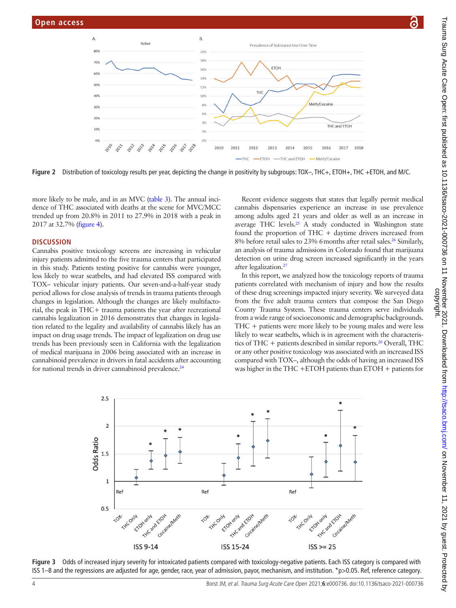

**Figure 2** Distribution of toxicology results per year, depicting the change in positivity by subgroups: TOX–, THC+, ETOH+, THC +ETOH, and M/C.

more likely to be male, and in an MVC [\(table](#page-4-0) 3). The annual incidence of THC associated with deaths at the scene for MVC/MCC trended up from 20.8% in 2011 to 27.9% in 2018 with a peak in 2017 at 32.7% [\(figure](#page-4-1) 4).

#### **DISCUSSION**

Cannabis positive toxicology screens are increasing in vehicular injury patients admitted to the five trauma centers that participated in this study. Patients testing positive for cannabis were younger, less likely to wear seatbelts, and had elevated ISS compared with TOX– vehicular injury patients. Our seven-and-a-half-year study period allows for close analysis of trends in trauma patients through changes in legislation. Although the changes are likely multifactorial, the peak in THC+ trauma patients the year after recreational cannabis legalization in 2016 demonstrates that changes in legislation related to the legality and availability of cannabis likely has an impact on drug usage trends. The impact of legalization on drug use trends has been previously seen in California with the legalization of medical marijuana in 2006 being associated with an increase in cannabinoid prevalence in drivers in fatal accidents after accounting for national trends in driver cannabinoid prevalence.<sup>[24](#page-5-6)</sup>

<span id="page-3-0"></span>Recent evidence suggests that states that legally permit medical cannabis dispensaries experience an increase in use prevalence among adults aged 21 years and older as well as an increase in average THC levels.<sup>25</sup> A study conducted in Washington state found the proportion of THC + daytime drivers increased from 8% before retail sales to 23% 6 months after retail sales.<sup>[26](#page-5-8)</sup> Similarly, an analysis of trauma admissions in Colorado found that marijuana detection on urine drug screen increased significantly in the years after legalization.[27](#page-5-9)

In this report, we analyzed how the toxicology reports of trauma patients correlated with mechanism of injury and how the results of these drug screenings impacted injury severity. We surveyed data from the five adult trauma centers that compose the San Diego County Trauma System. These trauma centers serve individuals from a wide range of socioeconomic and demographic backgrounds. THC + patients were more likely to be young males and were less likely to wear seatbelts, which is in agreement with the characteristics of THC + patients described in similar reports.<sup>20</sup> Overall, THC or any other positive toxicology was associated with an increased ISS compared with TOX–, although the odds of having an increased ISS was higher in the THC +ETOH patients than ETOH + patients for



<span id="page-3-1"></span>**Figure 3** Odds of increased injury severity for intoxicated patients compared with toxicology-negative patients. Each ISS category is compared with ISS 1–8 and the regressions are adjusted for age, gender, race, year of admission, payor, mechanism, and institution. \*p>0.05. Ref, reference category.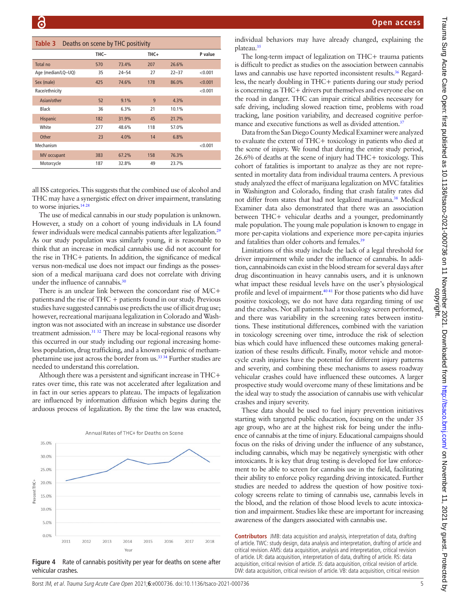<span id="page-4-0"></span>

| Table 3<br>Deaths on scene by THC positivity |      |           |      |           |         |  |  |  |  |
|----------------------------------------------|------|-----------|------|-----------|---------|--|--|--|--|
|                                              | THC- |           | THC+ |           | P value |  |  |  |  |
| Total no                                     | 570  | 73.4%     | 207  | 26.6%     |         |  |  |  |  |
| Age (median/LQ-UQ)                           | 35   | $24 - 54$ | 27   | $22 - 37$ | < 0.001 |  |  |  |  |
| Sex (male)                                   | 425  | 74.6%     | 178  | 86.0%     | < 0.001 |  |  |  |  |
| Race/ethnicity                               |      |           |      |           | < 0.001 |  |  |  |  |
| Asian/other                                  | 52   | 9.1%      | 9    | 4.3%      |         |  |  |  |  |
| Black                                        | 36   | 6.3%      | 21   | 10.1%     |         |  |  |  |  |
| Hispanic                                     | 182  | 31.9%     | 45   | 21.7%     |         |  |  |  |  |
| White                                        | 277  | 48.6%     | 118  | 57.0%     |         |  |  |  |  |
| Other                                        | 23   | 4.0%      | 14   | 6.8%      |         |  |  |  |  |
| Mechanism                                    |      |           |      |           | < 0.001 |  |  |  |  |
| <b>MV</b> occupant                           | 383  | 67.2%     | 158  | 76.3%     |         |  |  |  |  |
| Motorcycle                                   | 187  | 32.8%     | 49   | 23.7%     |         |  |  |  |  |

all ISS categories. This suggests that the combined use of alcohol and THC may have a synergistic effect on driver impairment, translating to worse injuries.<sup>14 28</sup>

The use of medical cannabis in our study population is unknown. However, a study on a cohort of young individuals in LA found fewer individuals were medical cannabis patients after legalization[.29](#page-5-11) As our study population was similarly young, it is reasonable to think that an increase in medical cannabis use did not account for the rise in THC+ patients. In addition, the significance of medical versus non-medical use does not impact our findings as the possession of a medical marijuana card does not correlate with driving under the influence of cannabis. $36$ 

There is an unclear link between the concordant rise of M/C+ patientsand the rise of THC + patients found in our study. Previous studies have suggested cannabis use predicts the use of illicit drug use; however, recreational marijuana legalization in Colorado and Washington was not associated with an increase in substance use disorder treatment admission[.31 32](#page-5-13) There may be local-regional reasons why this occurred in our study including our regional increasing homeless population, drug trafficking, and a known epidemic of methamphetamine use just across the border from us.<sup>33</sup><sup>34</sup> Further studies are needed to understand this correlation.

Although there was a persistent and significant increase in THC+ rates over time, this rate was not accelerated after legalization and in fact in our series appears to plateau. The impacts of legalization are influenced by information diffusion which begins during the arduous process of legalization. By the time the law was enacted,



<span id="page-4-1"></span>**Figure 4** Rate of cannabis positivity per year for deaths on scene after vehicular crashes.

individual behaviors may have already changed, explaining the plateau.<sup>[35](#page-5-15)</sup>

The long-term impact of legalization on THC+ trauma patients is difficult to predict as studies on the association between cannabis laws and cannabis use have reported inconsistent results.<sup>36</sup> Regardless, the nearly doubling in THC+ patients during our study period is concerning as THC+ drivers put themselves and everyone else on the road in danger. THC can impair critical abilities necessary for safe driving, including slowed reaction time, problems with road tracking, lane position variability, and decreased cognitive performance and executive functions as well as divided attention.<sup>37</sup>

Data from the San Diego County Medical Examiner were analyzed to evaluate the extent of THC+ toxicology in patients who died at the scene of injury. We found that during the entire study period, 26.6% of deaths at the scene of injury had THC+ toxicology. This cohort of fatalities is important to analyze as they are not represented in mortality data from individual trauma centers. A previous study analyzed the effect of marijuana legalization on MVC fatalities in Washington and Colorado, finding that crash fatality rates did not differ from states that had not legalized marijuana[.38](#page-5-18) Medical Examiner data also demonstrated that there was an association between THC+ vehicular deaths and a younger, predominantly male population. The young male population is known to engage in more per-capita violations and experience more per-capita injuries and fatalities than older cohorts and females.<sup>[39](#page-5-19)</sup>

Limitations of this study include the lack of a legal threshold for driver impairment while under the influence of cannabis. In addition, cannabinoids can exist in the blood stream for several days after drug discontinuation in heavy cannabis users, and it is unknown what impact these residual levels have on the user's physiological profile and level of impairment.<sup>4041</sup> For those patients who did have positive toxicology, we do not have data regarding timing of use and the crashes. Not all patients had a toxicology screen performed, and there was variability in the screening rates between institutions. These institutional differences, combined with the variation in toxicology screening over time, introduce the risk of selection bias which could have influenced these outcomes making generalization of these results difficult. Finally, motor vehicle and motorcycle crash injuries have the potential for different injury patterns and severity, and combining these mechanisms to assess roadway vehicular crashes could have influenced these outcomes. A larger prospective study would overcome many of these limitations and be the ideal way to study the association of cannabis use with vehicular crashes and injury severity.

These data should be used to fuel injury prevention initiatives starting with targeted public education, focusing on the under 35 age group, who are at the highest risk for being under the influence of cannabis at the time of injury. Educational campaigns should focus on the risks of driving under the influence of any substance, including cannabis, which may be negatively synergistic with other intoxicants. It is key that drug testing is developed for law enforcement to be able to screen for cannabis use in the field, facilitating their ability to enforce policy regarding driving intoxicated. Further studies are needed to address the question of how positive toxicology screens relate to timing of cannabis use, cannabis levels in the blood, and the relation of those blood levels to acute intoxication and impairment. Studies like these are important for increasing awareness of the dangers associated with cannabis use.

**Contributors** JMB: data acquisition and analysis, interpretation of data, drafting of article. TWC: study design, data analysis and interpretation, drafting of article and critical revision. AMS: data acquisition, analysis and interpretation, critical revision of article. LR: data acquisition, interpretation of data, drafting of article. RS: data acquisition, critical revision of article. JS: data acquisition, critical revision of article. DW: data acquisition, critical revision of article. VB: data acquisition, critical revision